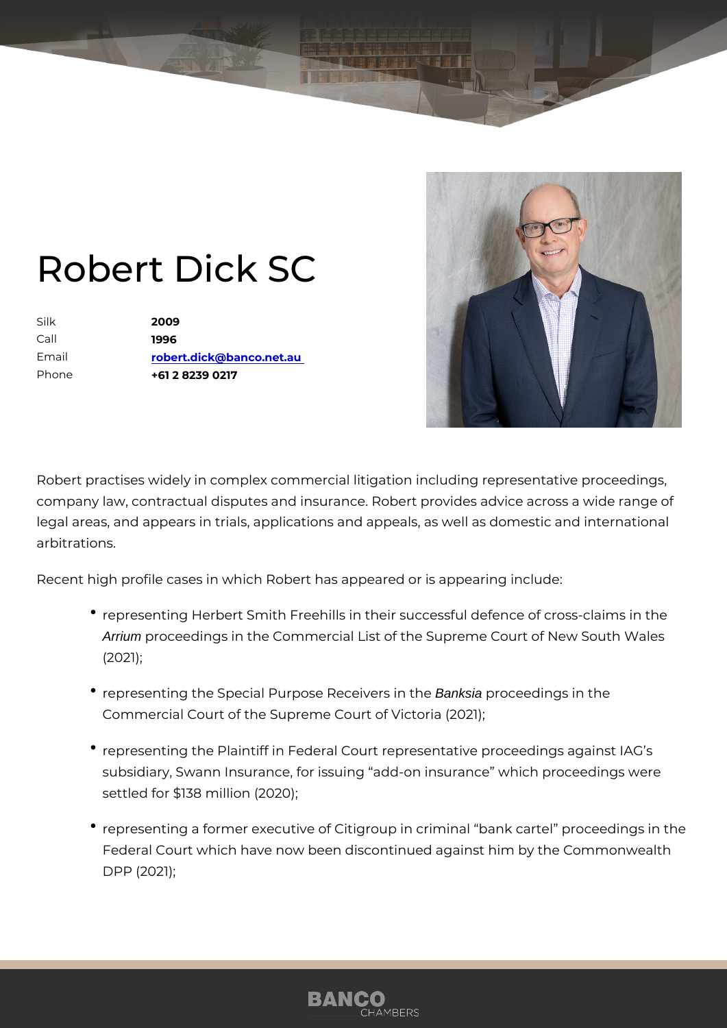## Robert Dick SC

Silk 2009 Call 1996 Email [robert.dick@banco.](mailto:robert.dick@banco.net.au)net.au Phone +61 2 8239 0217

Robert practises widely in complex commercial litigation including repres company law, contractual disputes and insurance. Robert provides advice legal areas, and appears in trials, applications and appeals, as well as d arbitrations.

Recent high profile cases in which Robert has appeared or is appearing i

- \* representing Herbert Smith Freehills in their successful defence o Arrium proceedings in the Commercial List of the Supreme Court of N (2021);
- representing the Special Purpose Recentesia procentings in the Commercial Court of the Supreme Court of Victoria (2021);
- representing the Plaintiff in Federal Court representative proceed subsidiary, Swann Insurance, for issuing add-on insurance which settled for \$138 million (2020);
- representing a former executive of Citigroup in criminal bank ecar Federal Court which have now been discontinued against him by the DPP (2021);